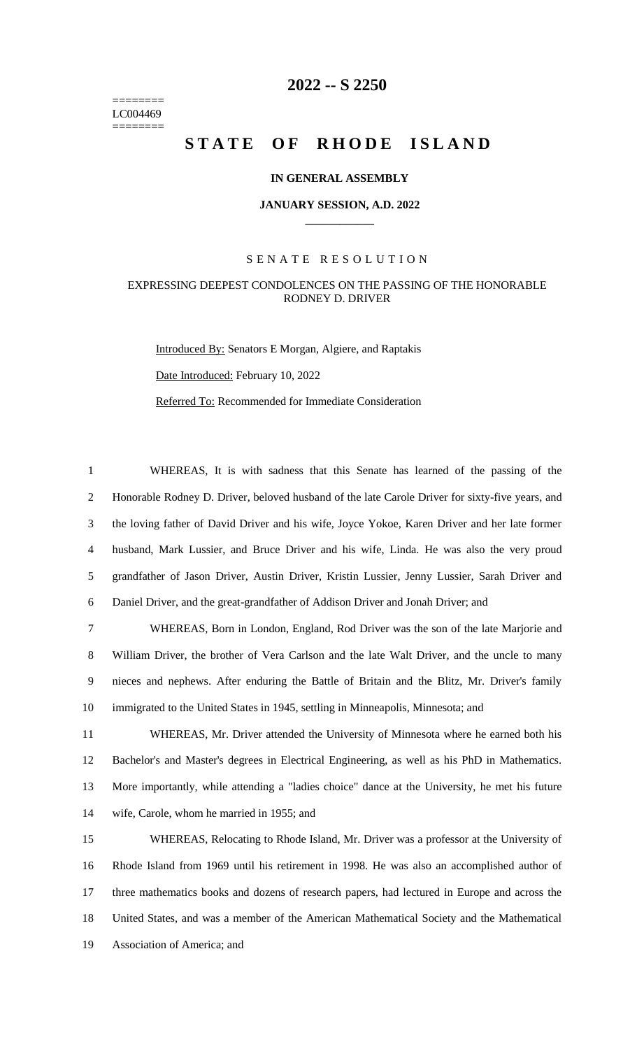======== LC004469 ========

# **-- S 2250**

# STATE OF RHODE ISLAND

### **IN GENERAL ASSEMBLY**

#### **JANUARY SESSION, A.D. 2022 \_\_\_\_\_\_\_\_\_\_\_\_**

## S E N A T E R E S O L U T I O N

# EXPRESSING DEEPEST CONDOLENCES ON THE PASSING OF THE HONORABLE RODNEY D. DRIVER

Introduced By: Senators E Morgan, Algiere, and Raptakis Date Introduced: February 10, 2022 Referred To: Recommended for Immediate Consideration

 WHEREAS, It is with sadness that this Senate has learned of the passing of the Honorable Rodney D. Driver, beloved husband of the late Carole Driver for sixty-five years, and the loving father of David Driver and his wife, Joyce Yokoe, Karen Driver and her late former husband, Mark Lussier, and Bruce Driver and his wife, Linda. He was also the very proud grandfather of Jason Driver, Austin Driver, Kristin Lussier, Jenny Lussier, Sarah Driver and Daniel Driver, and the great-grandfather of Addison Driver and Jonah Driver; and

 WHEREAS, Born in London, England, Rod Driver was the son of the late Marjorie and William Driver, the brother of Vera Carlson and the late Walt Driver, and the uncle to many nieces and nephews. After enduring the Battle of Britain and the Blitz, Mr. Driver's family immigrated to the United States in 1945, settling in Minneapolis, Minnesota; and

 WHEREAS, Mr. Driver attended the University of Minnesota where he earned both his Bachelor's and Master's degrees in Electrical Engineering, as well as his PhD in Mathematics. More importantly, while attending a "ladies choice" dance at the University, he met his future wife, Carole, whom he married in 1955; and

 WHEREAS, Relocating to Rhode Island, Mr. Driver was a professor at the University of Rhode Island from 1969 until his retirement in 1998. He was also an accomplished author of three mathematics books and dozens of research papers, had lectured in Europe and across the United States, and was a member of the American Mathematical Society and the Mathematical Association of America; and